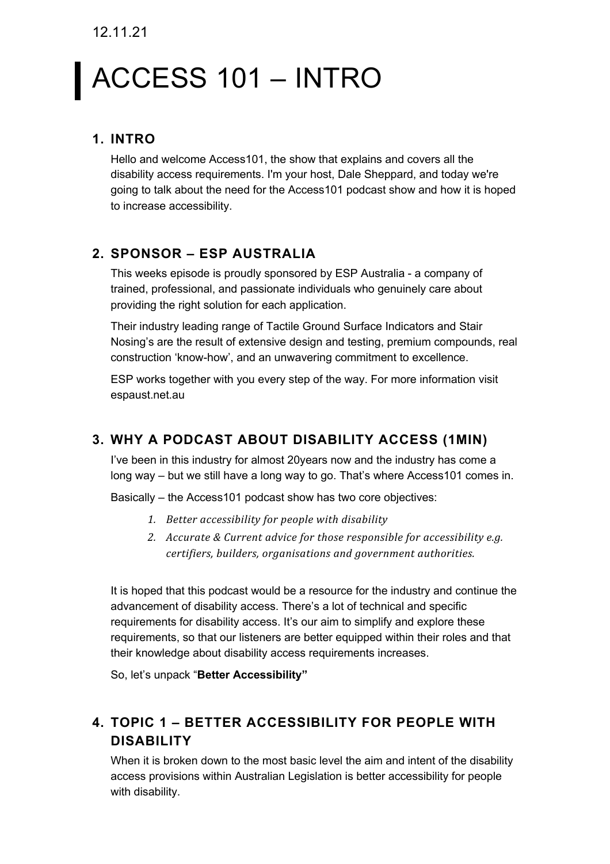12.11.21

# ACCESS 101 – INTRO

### **1. INTRO**

Hello and welcome Access101, the show that explains and covers all the disability access requirements. I'm your host, Dale Sheppard, and today we're going to talk about the need for the Access101 podcast show and how it is hoped to increase accessibility.

#### **2. SPONSOR – ESP AUSTRALIA**

This weeks episode is proudly sponsored by ESP Australia - a company of trained, professional, and passionate individuals who genuinely care about providing the right solution for each application.

Their industry leading range of Tactile Ground Surface Indicators and Stair Nosing's are the result of extensive design and testing, premium compounds, real construction 'know-how', and an unwavering commitment to excellence.

ESP works together with you every step of the way. For more information visit espaust.net.au

#### **3. WHY A PODCAST ABOUT DISABILITY ACCESS (1MIN)**

I've been in this industry for almost 20years now and the industry has come a long way – but we still have a long way to go. That's where Access101 comes in.

Basically – the Access101 podcast show has two core objectives:

- 1. Better accessibility for people with disability
- 2. Accurate & Current advice for those responsible for accessibility e.g. certifiers, builders, organisations and government authorities.

It is hoped that this podcast would be a resource for the industry and continue the advancement of disability access. There's a lot of technical and specific requirements for disability access. It's our aim to simplify and explore these requirements, so that our listeners are better equipped within their roles and that their knowledge about disability access requirements increases.

So, let's unpack "**Better Accessibility"**

# **4. TOPIC 1 – BETTER ACCESSIBILITY FOR PEOPLE WITH DISABILITY**

When it is broken down to the most basic level the aim and intent of the disability access provisions within Australian Legislation is better accessibility for people with disability.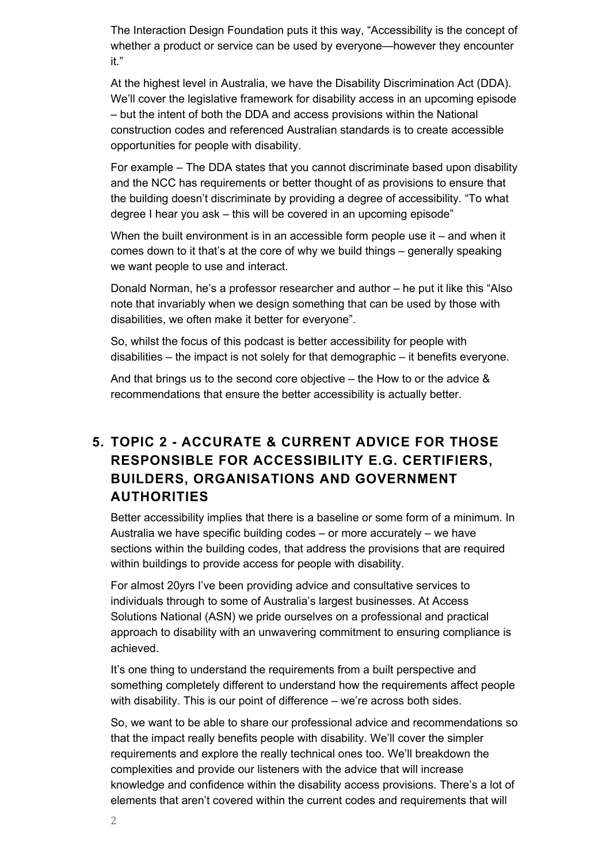The Interaction Design Foundation puts it this way, "Accessibility is the concept of whether a product or service can be used by everyone—however they encounter it."

At the highest level in Australia, we have the Disability Discrimination Act (DDA). We'll cover the legislative framework for disability access in an upcoming episode – but the intent of both the DDA and access provisions within the National construction codes and referenced Australian standards is to create accessible opportunities for people with disability.

For example – The DDA states that you cannot discriminate based upon disability and the NCC has requirements or better thought of as provisions to ensure that the building doesn't discriminate by providing a degree of accessibility. "To what degree I hear you ask – this will be covered in an upcoming episode"

When the built environment is in an accessible form people use it – and when it comes down to it that's at the core of why we build things – generally speaking we want people to use and interact.

Donald Norman, he's a professor researcher and author – he put it like this "Also note that invariably when we design something that can be used by those with disabilities, we often make it better for everyone".

So, whilst the focus of this podcast is better accessibility for people with disabilities – the impact is not solely for that demographic – it benefits everyone.

And that brings us to the second core objective – the How to or the advice & recommendations that ensure the better accessibility is actually better.

## **5. TOPIC 2 - ACCURATE & CURRENT ADVICE FOR THOSE RESPONSIBLE FOR ACCESSIBILITY E.G. CERTIFIERS, BUILDERS, ORGANISATIONS AND GOVERNMENT AUTHORITIES**

Better accessibility implies that there is a baseline or some form of a minimum. In Australia we have specific building codes – or more accurately – we have sections within the building codes, that address the provisions that are required within buildings to provide access for people with disability.

For almost 20yrs I've been providing advice and consultative services to individuals through to some of Australia's largest businesses. At Access Solutions National (ASN) we pride ourselves on a professional and practical approach to disability with an unwavering commitment to ensuring compliance is achieved.

It's one thing to understand the requirements from a built perspective and something completely different to understand how the requirements affect people with disability. This is our point of difference – we're across both sides.

So, we want to be able to share our professional advice and recommendations so that the impact really benefits people with disability. We'll cover the simpler requirements and explore the really technical ones too. We'll breakdown the complexities and provide our listeners with the advice that will increase knowledge and confidence within the disability access provisions. There's a lot of elements that aren't covered within the current codes and requirements that will